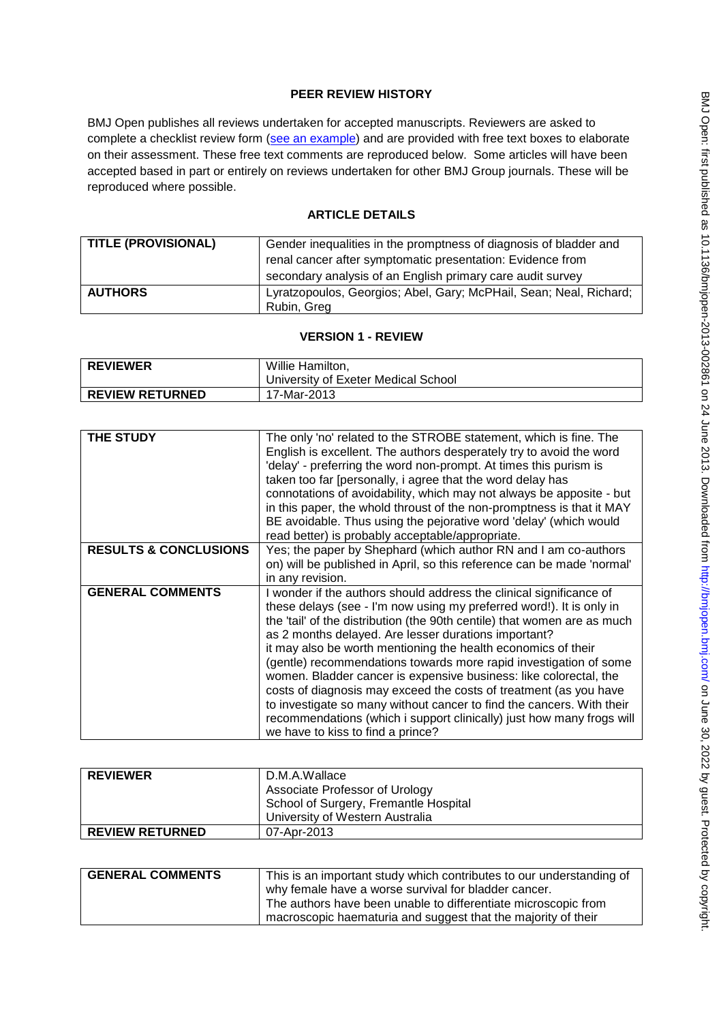## **PEER REVIEW HISTORY**

BMJ Open publishes all reviews undertaken for accepted manuscripts. Reviewers are asked to complete a checklist review form [\(see an example\)](http://bmjopen.bmj.com/site/about/resources/ScholarOne_Manuscripts.pdf) and are provided with free text boxes to elaborate on their assessment. These free text comments are reproduced below. Some articles will have been accepted based in part or entirely on reviews undertaken for other BMJ Group journals. These will be reproduced where possible.

## **ARTICLE DETAILS**

| <b>TITLE (PROVISIONAL)</b> | Gender inequalities in the promptness of diagnosis of bladder and                 |
|----------------------------|-----------------------------------------------------------------------------------|
|                            | renal cancer after symptomatic presentation: Evidence from                        |
|                            | secondary analysis of an English primary care audit survey                        |
| <b>AUTHORS</b>             | Lyratzopoulos, Georgios; Abel, Gary; McPHail, Sean; Neal, Richard;<br>Rubin, Greg |

## **VERSION 1 - REVIEW**

| <b>REVIEWER</b>        | Willie Hamilton,                    |
|------------------------|-------------------------------------|
|                        | University of Exeter Medical School |
| <b>REVIEW RETURNED</b> | 17-Mar-2013                         |

| <b>THE STUDY</b>                 | The only 'no' related to the STROBE statement, which is fine. The<br>English is excellent. The authors desperately try to avoid the word<br>'delay' - preferring the word non-prompt. At times this purism is<br>taken too far [personally, i agree that the word delay has<br>connotations of avoidability, which may not always be apposite - but<br>in this paper, the whold throust of the non-promptness is that it MAY<br>BE avoidable. Thus using the pejorative word 'delay' (which would<br>read better) is probably acceptable/appropriate.                                                                                                                                                                                                  |
|----------------------------------|--------------------------------------------------------------------------------------------------------------------------------------------------------------------------------------------------------------------------------------------------------------------------------------------------------------------------------------------------------------------------------------------------------------------------------------------------------------------------------------------------------------------------------------------------------------------------------------------------------------------------------------------------------------------------------------------------------------------------------------------------------|
| <b>RESULTS &amp; CONCLUSIONS</b> | Yes; the paper by Shephard (which author RN and I am co-authors<br>on) will be published in April, so this reference can be made 'normal'<br>in any revision.                                                                                                                                                                                                                                                                                                                                                                                                                                                                                                                                                                                          |
| <b>GENERAL COMMENTS</b>          | I wonder if the authors should address the clinical significance of<br>these delays (see - I'm now using my preferred word!). It is only in<br>the 'tail' of the distribution (the 90th centile) that women are as much<br>as 2 months delayed. Are lesser durations important?<br>it may also be worth mentioning the health economics of their<br>(gentle) recommendations towards more rapid investigation of some<br>women. Bladder cancer is expensive business: like colorectal, the<br>costs of diagnosis may exceed the costs of treatment (as you have<br>to investigate so many without cancer to find the cancers. With their<br>recommendations (which i support clinically) just how many frogs will<br>we have to kiss to find a prince? |

| <b>REVIEWER</b>        | D.M.A.Wallace                                                           |
|------------------------|-------------------------------------------------------------------------|
|                        | Associate Professor of Urology<br>School of Surgery, Fremantle Hospital |
|                        | University of Western Australia                                         |
| <b>REVIEW RETURNED</b> | 07-Apr-2013                                                             |

| <b>GENERAL COMMENTS</b> | This is an important study which contributes to our understanding of |
|-------------------------|----------------------------------------------------------------------|
|                         | why female have a worse survival for bladder cancer.                 |
|                         | The authors have been unable to differentiate microscopic from       |
|                         | macroscopic haematuria and suggest that the majority of their        |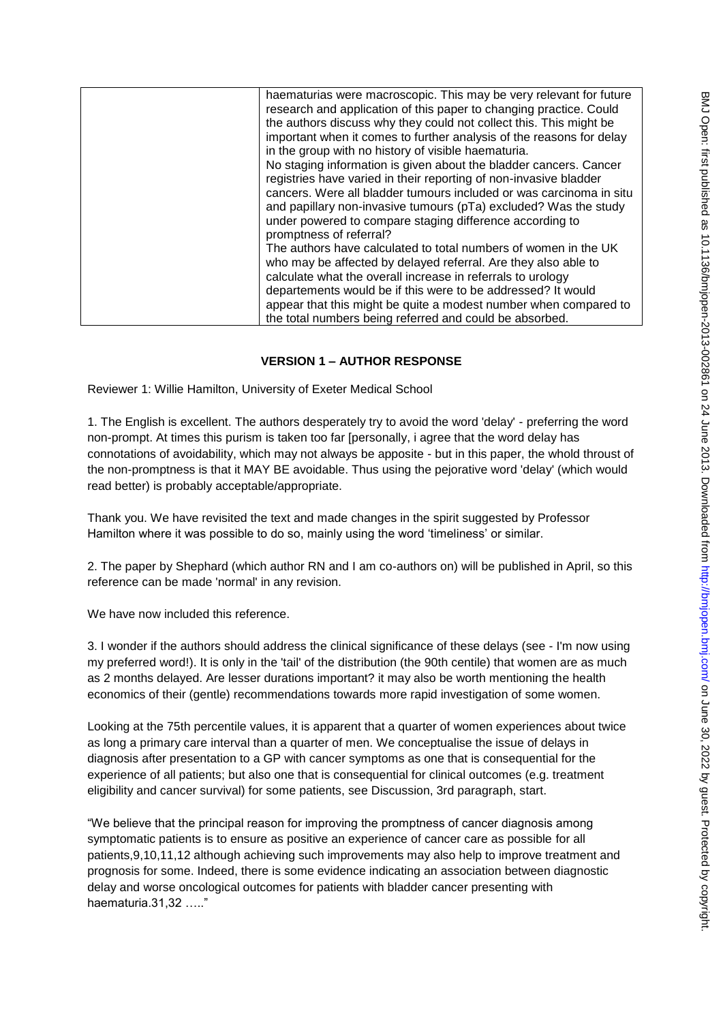| haematurias were macroscopic. This may be very relevant for future   |
|----------------------------------------------------------------------|
| research and application of this paper to changing practice. Could   |
| the authors discuss why they could not collect this. This might be   |
| important when it comes to further analysis of the reasons for delay |
| in the group with no history of visible haematuria.                  |
| No staging information is given about the bladder cancers. Cancer    |
| registries have varied in their reporting of non-invasive bladder    |
| cancers. Were all bladder tumours included or was carcinoma in situ  |
| and papillary non-invasive tumours (pTa) excluded? Was the study     |
| under powered to compare staging difference according to             |
| promptness of referral?                                              |
| The authors have calculated to total numbers of women in the UK      |
| who may be affected by delayed referral. Are they also able to       |
| calculate what the overall increase in referrals to urology          |
| departements would be if this were to be addressed? It would         |
| appear that this might be quite a modest number when compared to     |
| the total numbers being referred and could be absorbed.              |

## **VERSION 1 – AUTHOR RESPONSE**

Reviewer 1: Willie Hamilton, University of Exeter Medical School

1. The English is excellent. The authors desperately try to avoid the word 'delay' - preferring the word non-prompt. At times this purism is taken too far [personally, i agree that the word delay has connotations of avoidability, which may not always be apposite - but in this paper, the whold throust of the non-promptness is that it MAY BE avoidable. Thus using the pejorative word 'delay' (which would read better) is probably acceptable/appropriate.

Thank you. We have revisited the text and made changes in the spirit suggested by Professor Hamilton where it was possible to do so, mainly using the word "timeliness" or similar.

2. The paper by Shephard (which author RN and I am co-authors on) will be published in April, so this reference can be made 'normal' in any revision.

We have now included this reference.

3. I wonder if the authors should address the clinical significance of these delays (see - I'm now using my preferred word!). It is only in the 'tail' of the distribution (the 90th centile) that women are as much as 2 months delayed. Are lesser durations important? it may also be worth mentioning the health economics of their (gentle) recommendations towards more rapid investigation of some women.

Looking at the 75th percentile values, it is apparent that a quarter of women experiences about twice as long a primary care interval than a quarter of men. We conceptualise the issue of delays in diagnosis after presentation to a GP with cancer symptoms as one that is consequential for the experience of all patients; but also one that is consequential for clinical outcomes (e.g. treatment eligibility and cancer survival) for some patients, see Discussion, 3rd paragraph, start.

"We believe that the principal reason for improving the promptness of cancer diagnosis among symptomatic patients is to ensure as positive an experience of cancer care as possible for all patients,9,10,11,12 although achieving such improvements may also help to improve treatment and prognosis for some. Indeed, there is some evidence indicating an association between diagnostic delay and worse oncological outcomes for patients with bladder cancer presenting with haematuria.31,32 ….."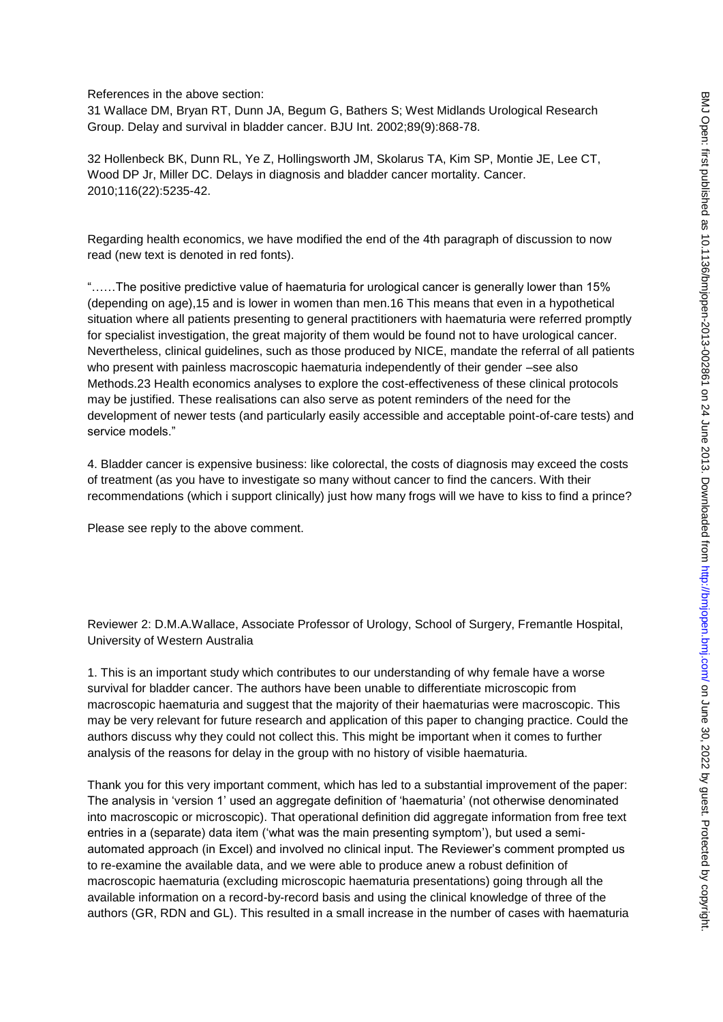References in the above section:

31 Wallace DM, Bryan RT, Dunn JA, Begum G, Bathers S; West Midlands Urological Research Group. Delay and survival in bladder cancer. BJU Int. 2002;89(9):868-78.

32 Hollenbeck BK, Dunn RL, Ye Z, Hollingsworth JM, Skolarus TA, Kim SP, Montie JE, Lee CT, Wood DP Jr, Miller DC. Delays in diagnosis and bladder cancer mortality. Cancer. 2010;116(22):5235-42.

Regarding health economics, we have modified the end of the 4th paragraph of discussion to now read (new text is denoted in red fonts).

"……The positive predictive value of haematuria for urological cancer is generally lower than 15% (depending on age),15 and is lower in women than men.16 This means that even in a hypothetical situation where all patients presenting to general practitioners with haematuria were referred promptly for specialist investigation, the great majority of them would be found not to have urological cancer. Nevertheless, clinical guidelines, such as those produced by NICE, mandate the referral of all patients who present with painless macroscopic haematuria independently of their gender –see also Methods.23 Health economics analyses to explore the cost-effectiveness of these clinical protocols may be justified. These realisations can also serve as potent reminders of the need for the development of newer tests (and particularly easily accessible and acceptable point-of-care tests) and service models."

4. Bladder cancer is expensive business: like colorectal, the costs of diagnosis may exceed the costs of treatment (as you have to investigate so many without cancer to find the cancers. With their recommendations (which i support clinically) just how many frogs will we have to kiss to find a prince?

Please see reply to the above comment.

Reviewer 2: D.M.A.Wallace, Associate Professor of Urology, School of Surgery, Fremantle Hospital, University of Western Australia

1. This is an important study which contributes to our understanding of why female have a worse survival for bladder cancer. The authors have been unable to differentiate microscopic from macroscopic haematuria and suggest that the majority of their haematurias were macroscopic. This may be very relevant for future research and application of this paper to changing practice. Could the authors discuss why they could not collect this. This might be important when it comes to further analysis of the reasons for delay in the group with no history of visible haematuria.

Thank you for this very important comment, which has led to a substantial improvement of the paper: The analysis in "version 1" used an aggregate definition of "haematuria" (not otherwise denominated into macroscopic or microscopic). That operational definition did aggregate information from free text entries in a (separate) data item ('what was the main presenting symptom'), but used a semiautomated approach (in Excel) and involved no clinical input. The Reviewer"s comment prompted us to re-examine the available data, and we were able to produce anew a robust definition of macroscopic haematuria (excluding microscopic haematuria presentations) going through all the available information on a record-by-record basis and using the clinical knowledge of three of the authors (GR, RDN and GL). This resulted in a small increase in the number of cases with haematuria